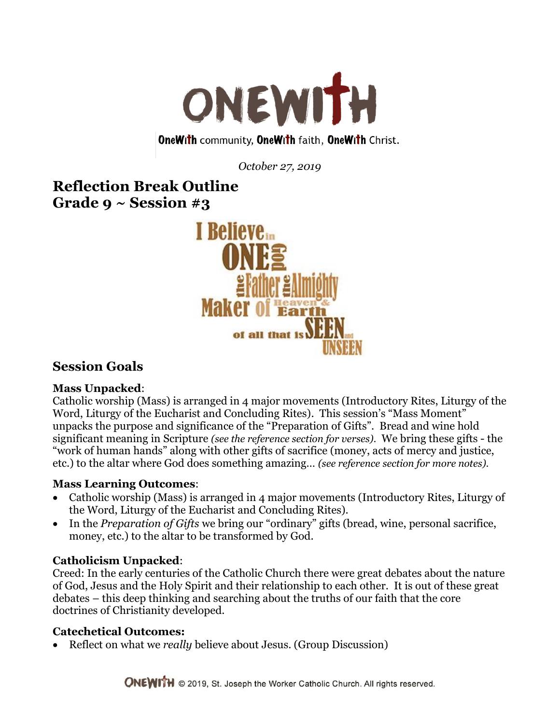

### **OneWith community, OneWith faith, OneWith Christ.**

*October 27, 2019*

# **Reflection Break Outline Grade 9 ~ Session #3**



# **Session Goals**

### **Mass Unpacked**:

Catholic worship (Mass) is arranged in 4 major movements (Introductory Rites, Liturgy of the Word, Liturgy of the Eucharist and Concluding Rites). This session's "Mass Moment" unpacks the purpose and significance of the "Preparation of Gifts". Bread and wine hold significant meaning in Scripture *(see the reference section for verses).* We bring these gifts - the "work of human hands" along with other gifts of sacrifice (money, acts of mercy and justice, etc.) to the altar where God does something amazing… *(see reference section for more notes).*

### **Mass Learning Outcomes**:

- Catholic worship (Mass) is arranged in 4 major movements (Introductory Rites, Liturgy of the Word, Liturgy of the Eucharist and Concluding Rites).
- In the *Preparation of Gifts* we bring our "ordinary" gifts (bread, wine, personal sacrifice, money, etc.) to the altar to be transformed by God.

## **Catholicism Unpacked**:

Creed: In the early centuries of the Catholic Church there were great debates about the nature of God, Jesus and the Holy Spirit and their relationship to each other. It is out of these great debates – this deep thinking and searching about the truths of our faith that the core doctrines of Christianity developed.

## **Catechetical Outcomes:**

Reflect on what we *really* believe about Jesus. (Group Discussion)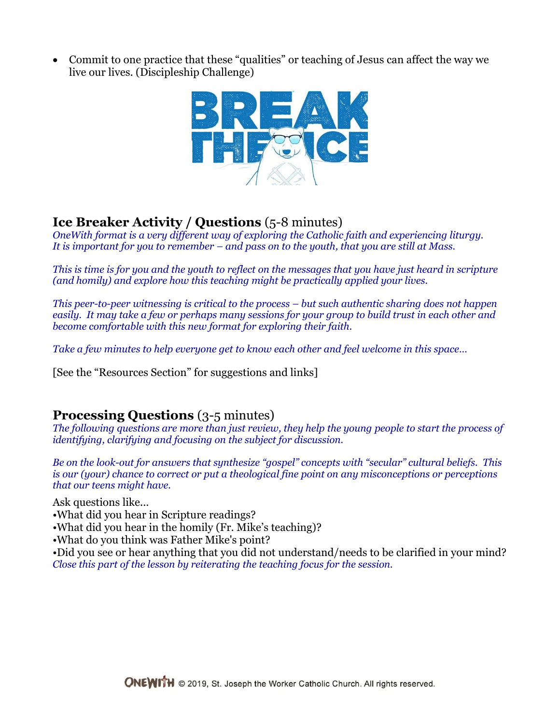Commit to one practice that these "qualities" or teaching of Jesus can affect the way we live our lives. (Discipleship Challenge)



# **Ice Breaker Activity / Questions** (5-8 minutes)

*OneWith format is a very different way of exploring the Catholic faith and experiencing liturgy. It is important for you to remember – and pass on to the youth, that you are still at Mass.*

*This is time is for you and the youth to reflect on the messages that you have just heard in scripture (and homily) and explore how this teaching might be practically applied your lives.*

*This peer-to-peer witnessing is critical to the process – but such authentic sharing does not happen easily. It may take a few or perhaps many sessions for your group to build trust in each other and become comfortable with this new format for exploring their faith.* 

*Take a few minutes to help everyone get to know each other and feel welcome in this space…*

[See the "Resources Section" for suggestions and links]

## **Processing Questions** (3-5 minutes)

*The following questions are more than just review, they help the young people to start the process of identifying, clarifying and focusing on the subject for discussion.*

*Be on the look-out for answers that synthesize "gospel" concepts with "secular" cultural beliefs. This is our (your) chance to correct or put a theological fine point on any misconceptions or perceptions that our teens might have.* 

Ask questions like...

- •What did you hear in Scripture readings?
- •What did you hear in the homily (Fr. Mike's teaching)?
- •What do you think was Father Mike's point?

•Did you see or hear anything that you did not understand/needs to be clarified in your mind? *Close this part of the lesson by reiterating the teaching focus for the session.*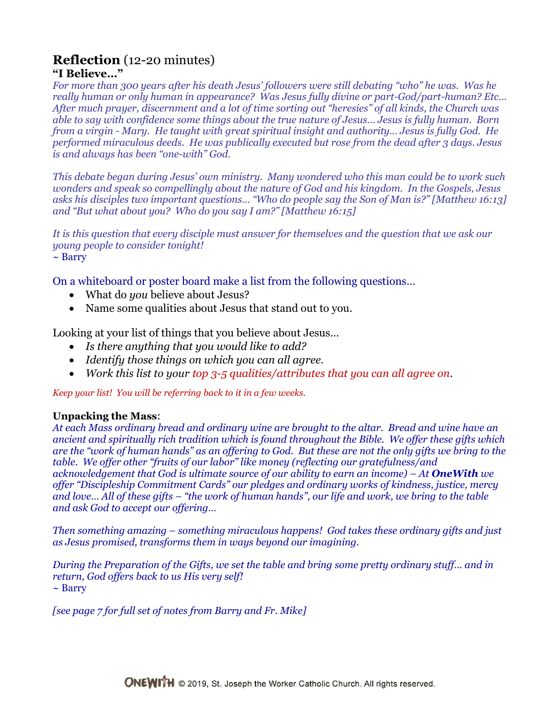### **Reflection** (12-20 minutes) **"I Believe…"**

*For more than 300 years after his death Jesus' followers were still debating "who" he was. Was he really human or only human in appearance? Was Jesus fully divine or part-God/part-human? Etc… After much prayer, discernment and a lot of time sorting out "heresies" of all kinds, the Church was able to say with confidence some things about the true nature of Jesus… Jesus is fully human. Born from a virgin - Mary. He taught with great spiritual insight and authority… Jesus is fully God. He performed miraculous deeds. He was publically executed but rose from the dead after 3 days. Jesus is and always has been "one-with" God.* 

*This debate began during Jesus' own ministry. Many wondered who this man could be to work such wonders and speak so compellingly about the nature of God and his kingdom. In the Gospels, Jesus asks his disciples two important questions… "Who do people say the Son of Man is?" [Matthew 16:13] and "But what about you? Who do you say I am?" [Matthew 16:15]*

*It is this question that every disciple must answer for themselves and the question that we ask our young people to consider tonight!*  $\sim$  Barry

On a whiteboard or poster board make a list from the following questions…

- What do *you* believe about Jesus?
- Name some qualities about Jesus that stand out to you.

Looking at your list of things that you believe about Jesus…

- *Is there anything that you would like to add?*
- *Identify those things on which you can all agree.*
- *Work this list to your top 3-5 qualities/attributes that you can all agree on.*

*Keep your list! You will be referring back to it in a few weeks.*

### **Unpacking the Mass**:

*At each Mass ordinary bread and ordinary wine are brought to the altar. Bread and wine have an ancient and spiritually rich tradition which is found throughout the Bible. We offer these gifts which are the "work of human hands" as an offering to God. But these are not the only gifts we bring to the table. We offer other "fruits of our labor" like money (reflecting our gratefulness/and acknowledgement that God is ultimate source of our ability to earn an income) – At OneWith we offer "Discipleship Commitment Cards" our pledges and ordinary works of kindness, justice, mercy and love… All of these gifts – "the work of human hands", our life and work, we bring to the table and ask God to accept our offering…* 

*Then something amazing – something miraculous happens! God takes these ordinary gifts and just as Jesus promised, transforms them in ways beyond our imagining.*

*During the Preparation of the Gifts, we set the table and bring some pretty ordinary stuff… and in return, God offers back to us His very self!* ~ Barry

*[see page 7 for full set of notes from Barry and Fr. Mike]*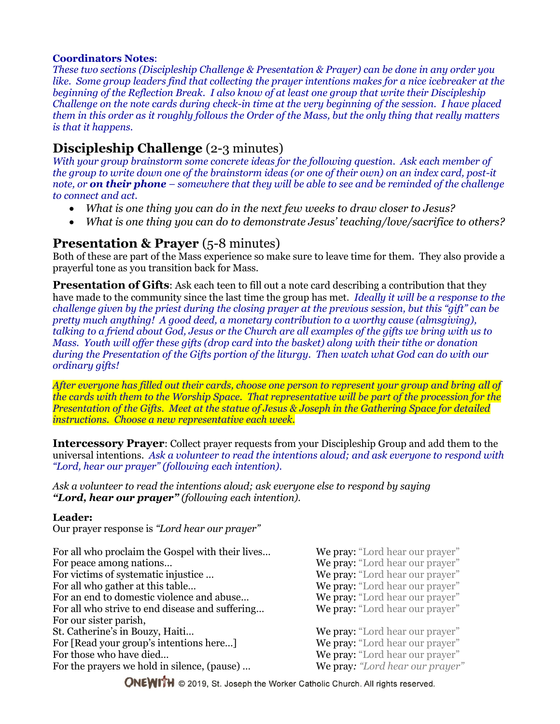### **Coordinators Notes**:

*These two sections (Discipleship Challenge & Presentation & Prayer) can be done in any order you like. Some group leaders find that collecting the prayer intentions makes for a nice icebreaker at the beginning of the Reflection Break. I also know of at least one group that write their Discipleship Challenge on the note cards during check-in time at the very beginning of the session. I have placed them in this order as it roughly follows the Order of the Mass, but the only thing that really matters is that it happens.*

## **Discipleship Challenge** (2-3 minutes)

*With your group brainstorm some concrete ideas for the following question. Ask each member of the group to write down one of the brainstorm ideas (or one of their own) on an index card, post-it note, or on their phone – somewhere that they will be able to see and be reminded of the challenge to connect and act.*

- *What is one thing you can do in the next few weeks to draw closer to Jesus?*
- *What is one thing you can do to demonstrate Jesus' teaching/love/sacrifice to others?*

## **Presentation & Prayer** (5-8 minutes)

Both of these are part of the Mass experience so make sure to leave time for them. They also provide a prayerful tone as you transition back for Mass.

**Presentation of Gifts**: Ask each teen to fill out a note card describing a contribution that they have made to the community since the last time the group has met. *Ideally it will be a response to the challenge given by the priest during the closing prayer at the previous session, but this "gift" can be pretty much anything! A good deed, a monetary contribution to a worthy cause (almsgiving), talking to a friend about God, Jesus or the Church are all examples of the gifts we bring with us to Mass. Youth will offer these gifts (drop card into the basket) along with their tithe or donation during the Presentation of the Gifts portion of the liturgy. Then watch what God can do with our ordinary gifts!*

*After everyone has filled out their cards, choose one person to represent your group and bring all of the cards with them to the Worship Space. That representative will be part of the procession for the Presentation of the Gifts. Meet at the statue of Jesus & Joseph in the Gathering Space for detailed instructions. Choose a new representative each week.*

**Intercessory Prayer**: Collect prayer requests from your Discipleship Group and add them to the universal intentions. *Ask a volunteer to read the intentions aloud; and ask everyone to respond with "Lord, hear our prayer" (following each intention).*

*Ask a volunteer to read the intentions aloud; ask everyone else to respond by saying "Lord, hear our prayer" (following each intention).*

### **Leader:**

Our prayer response is *"Lord hear our prayer"*

| For all who proclaim the Gospel with their lives<br>For peace among nations<br>For victims of systematic injustice<br>For all who gather at this table<br>For an end to domestic violence and abuse<br>For all who strive to end disease and suffering<br>For our sister parish, | We pray: "Lord hear our prayer"<br>We pray: "Lord hear our prayer"<br>We pray: "Lord hear our prayer"<br>We pray: "Lord hear our prayer"<br>We pray: "Lord hear our prayer"<br>We pray: "Lord hear our prayer" |
|----------------------------------------------------------------------------------------------------------------------------------------------------------------------------------------------------------------------------------------------------------------------------------|----------------------------------------------------------------------------------------------------------------------------------------------------------------------------------------------------------------|
| St. Catherine's in Bouzy, Haiti                                                                                                                                                                                                                                                  | We pray: "Lord hear our prayer"                                                                                                                                                                                |
| For [Read your group's intentions here]                                                                                                                                                                                                                                          | We pray: "Lord hear our prayer"                                                                                                                                                                                |
| For those who have died                                                                                                                                                                                                                                                          | We pray: "Lord hear our prayer"                                                                                                                                                                                |
| For the prayers we hold in silence, (pause)                                                                                                                                                                                                                                      | We pray: "Lord hear our prayer"                                                                                                                                                                                |

**ONEWITH** © 2019, St. Joseph the Worker Catholic Church. All rights reserved.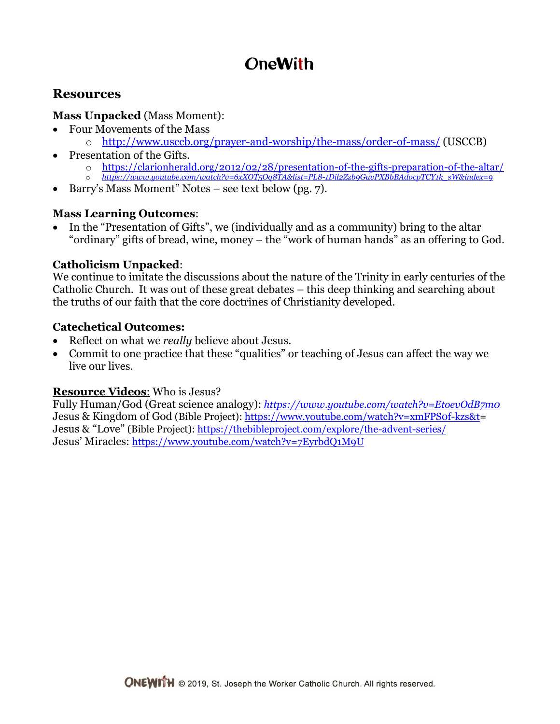# **OneWith**

# **Resources**

### **Mass Unpacked** (Mass Moment):

- Four Movements of the Mass
	- o <http://www.usccb.org/prayer-and-worship/the-mass/order-of-mass/> (USCCB)
- Presentation of the Gifts.
	- o <https://clarionherald.org/2012/02/28/presentation-of-the-gifts-preparation-of-the-altar/>
	- o *[https://www.youtube.com/watch?v=6xXOT5Oq8TA&list=PL8-1Dil2Zzb9GuvPXBbBAdocpTCY1k\\_sW&index=9](https://www.youtube.com/watch?v=6xXOT5Oq8TA&list=PL8-1Dil2Zzb9GuvPXBbBAdocpTCY1k_sW&index=9)*
- Barry's Mass Moment" Notes see text below (pg. 7).

### **Mass Learning Outcomes**:

 In the "Presentation of Gifts", we (individually and as a community) bring to the altar "ordinary" gifts of bread, wine, money – the "work of human hands" as an offering to God.

## **Catholicism Unpacked**:

We continue to imitate the discussions about the nature of the Trinity in early centuries of the Catholic Church. It was out of these great debates – this deep thinking and searching about the truths of our faith that the core doctrines of Christianity developed.

### **Catechetical Outcomes:**

- Reflect on what we *really* believe about Jesus.
- Commit to one practice that these "qualities" or teaching of Jesus can affect the way we live our lives.

### **Resource Videos**: Who is Jesus?

Fully Human/God (Great science analogy): *https://www.youtube.com/watch?v=EtoevOdB7m0* Jesus & Kingdom of God (Bible Project)[: https://www.youtube.com/watch?v=xmFPS0f-kzs&t=](https://www.youtube.com/watch?v=xmFPS0f-kzs&t) Jesus & "Love" (Bible Project):<https://thebibleproject.com/explore/the-advent-series/> Jesus' Miracles: <https://www.youtube.com/watch?v=7EyrbdQ1M9U>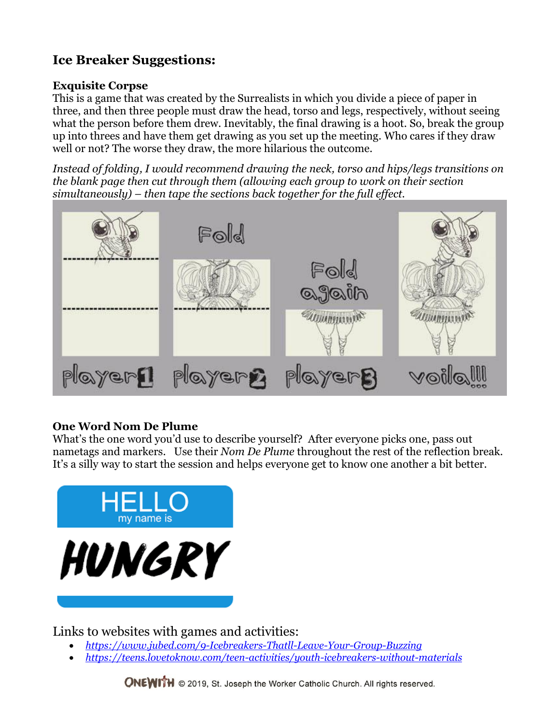# **Ice Breaker Suggestions:**

### **Exquisite Corpse**

This is a game that was created by the Surrealists in which you divide a piece of paper in three, and then three people must draw the head, torso and legs, respectively, without seeing what the person before them drew. Inevitably, the final drawing is a hoot. So, break the group up into threes and have them get drawing as you set up the meeting. Who cares if they draw well or not? The worse they draw, the more hilarious the outcome.

*Instead of folding, I would recommend drawing the neck, torso and hips/legs transitions on the blank page then cut through them (allowing each group to work on their section simultaneously) – then tape the sections back together for the full effect.*



## **One Word Nom De Plume**

What's the one word you'd use to describe yourself? After everyone picks one, pass out nametags and markers. Use their *Nom De Plume* throughout the rest of the reflection break. It's a silly way to start the session and helps everyone get to know one another a bit better.



Links to websites with games and activities:

- *<https://www.jubed.com/9-Icebreakers-Thatll-Leave-Your-Group-Buzzing>*
- *<https://teens.lovetoknow.com/teen-activities/youth-icebreakers-without-materials>*

**ONEWITH** © 2019, St. Joseph the Worker Catholic Church. All rights reserved.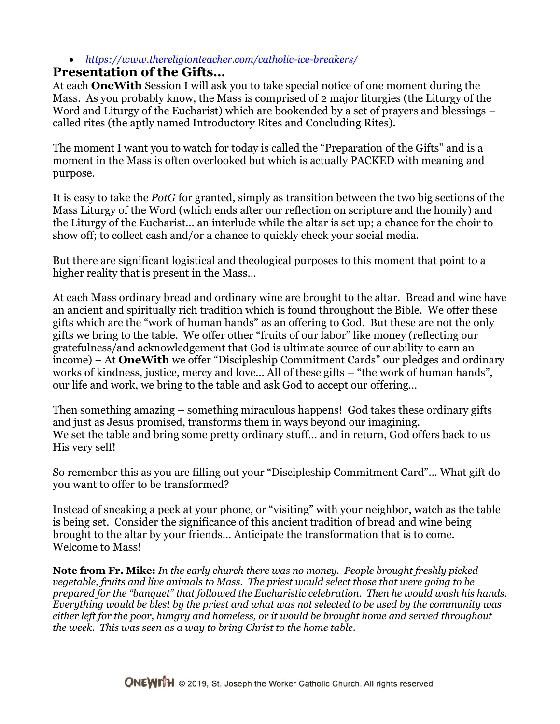### *<https://www.thereligionteacher.com/catholic-ice-breakers/>*

## **Presentation of the Gifts…**

At each **OneWith** Session I will ask you to take special notice of one moment during the Mass. As you probably know, the Mass is comprised of 2 major liturgies (the Liturgy of the Word and Liturgy of the Eucharist) which are bookended by a set of prayers and blessings – called rites (the aptly named Introductory Rites and Concluding Rites).

The moment I want you to watch for today is called the "Preparation of the Gifts" and is a moment in the Mass is often overlooked but which is actually PACKED with meaning and purpose.

It is easy to take the *PotG* for granted, simply as transition between the two big sections of the Mass Liturgy of the Word (which ends after our reflection on scripture and the homily) and the Liturgy of the Eucharist… an interlude while the altar is set up; a chance for the choir to show off; to collect cash and/or a chance to quickly check your social media.

But there are significant logistical and theological purposes to this moment that point to a higher reality that is present in the Mass…

At each Mass ordinary bread and ordinary wine are brought to the altar. Bread and wine have an ancient and spiritually rich tradition which is found throughout the Bible. We offer these gifts which are the "work of human hands" as an offering to God. But these are not the only gifts we bring to the table. We offer other "fruits of our labor" like money (reflecting our gratefulness/and acknowledgement that God is ultimate source of our ability to earn an income) – At **OneWith** we offer "Discipleship Commitment Cards" our pledges and ordinary works of kindness, justice, mercy and love… All of these gifts – "the work of human hands", our life and work, we bring to the table and ask God to accept our offering…

Then something amazing – something miraculous happens! God takes these ordinary gifts and just as Jesus promised, transforms them in ways beyond our imagining. We set the table and bring some pretty ordinary stuff… and in return, God offers back to us His very self!

So remember this as you are filling out your "Discipleship Commitment Card"… What gift do you want to offer to be transformed?

Instead of sneaking a peek at your phone, or "visiting" with your neighbor, watch as the table is being set. Consider the significance of this ancient tradition of bread and wine being brought to the altar by your friends… Anticipate the transformation that is to come. Welcome to Mass!

**Note from Fr. Mike:** *In the early church there was no money. People brought freshly picked vegetable, fruits and live animals to Mass. The priest would select those that were going to be prepared for the "banquet" that followed the Eucharistic celebration. Then he would wash his hands. Everything would be blest by the priest and what was not selected to be used by the community was either left for the poor, hungry and homeless, or it would be brought home and served throughout the week. This was seen as a way to bring Christ to the home table.*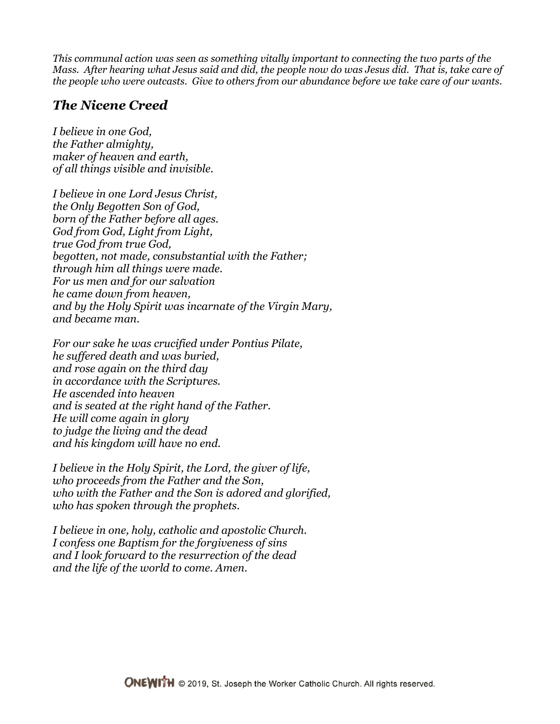*This communal action was seen as something vitally important to connecting the two parts of the Mass. After hearing what Jesus said and did, the people now do was Jesus did. That is, take care of the people who were outcasts. Give to others from our abundance before we take care of our wants.* 

# *The Nicene Creed*

*I believe in one God, the Father almighty, maker of heaven and earth, of all things visible and invisible.*

*I believe in one Lord Jesus Christ, the Only Begotten Son of God, born of the Father before all ages. God from God, Light from Light, true God from true God, begotten, not made, consubstantial with the Father; through him all things were made. For us men and for our salvation he came down from heaven, and by the Holy Spirit was incarnate of the Virgin Mary, and became man.*

*For our sake he was crucified under Pontius Pilate, he suffered death and was buried, and rose again on the third day in accordance with the Scriptures. He ascended into heaven and is seated at the right hand of the Father. He will come again in glory to judge the living and the dead and his kingdom will have no end.*

*I believe in the Holy Spirit, the Lord, the giver of life, who proceeds from the Father and the Son, who with the Father and the Son is adored and glorified, who has spoken through the prophets.*

*I believe in one, holy, catholic and apostolic Church. I confess one Baptism for the forgiveness of sins and I look forward to the resurrection of the dead and the life of the world to come. Amen.*